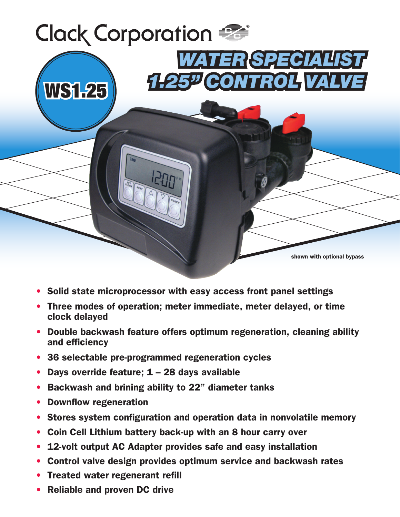

- Solid state microprocessor with easy access front panel settings
- Three modes of operation; meter immediate, meter delayed, or time clock delayed
- Double backwash feature offers optimum regeneration, cleaning ability and efficiency
- 36 selectable pre-programmed regeneration cycles
- Days override feature; 1 28 days available
- Backwash and brining ability to 22" diameter tanks
- Downflow regeneration
- Stores system configuration and operation data in nonvolatile memory
- Coin Cell Lithium battery back-up with an 8 hour carry over
- 12-volt output AC Adapter provides safe and easy installation
- Control valve design provides optimum service and backwash rates
- Treated water regenerant refill
- Reliable and proven DC drive